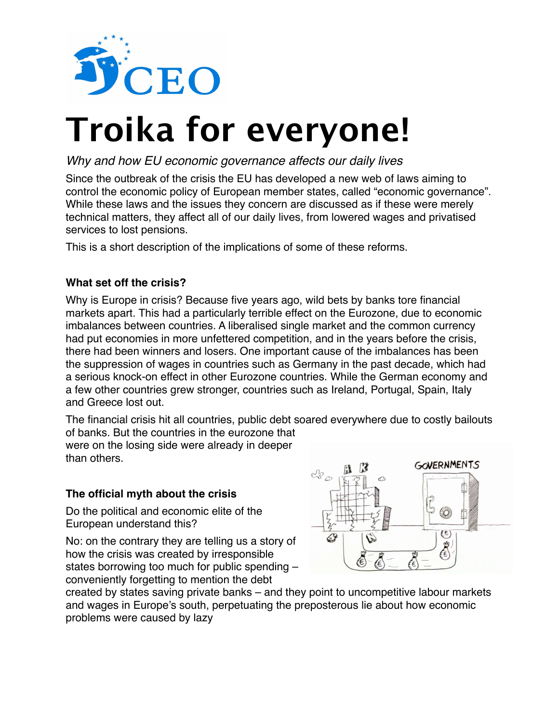

# **Troika for everyone!**

# *Why and how EU economic governance affects our daily lives*

Since the outbreak of the crisis the EU has developed a new web of laws aiming to control the economic policy of European member states, called "economic governance". While these laws and the issues they concern are discussed as if these were merely technical matters, they affect all of our daily lives, from lowered wages and privatised services to lost pensions.

This is a short description of the implications of some of these reforms.

## **What set off the crisis?**

Why is Europe in crisis? Because five years ago, wild bets by banks tore financial markets apart. This had a particularly terrible effect on the Eurozone, due to economic imbalances between countries. A liberalised single market and the common currency had put economies in more unfettered competition, and in the years before the crisis, there had been winners and losers. One important cause of the imbalances has been the suppression of wages in countries such as Germany in the past decade, which had a serious knock-on effect in other Eurozone countries. While the German economy and a few other countries grew stronger, countries such as Ireland, Portugal, Spain, Italy and Greece lost out.

The financial crisis hit all countries, public debt soared everywhere due to costly bailouts of banks. But the countries in the eurozone that

were on the losing side were already in deeper than others.

## **The official myth about the crisis**

Do the political and economic elite of the European understand this?

No: on the contrary they are telling us a story of how the crisis was created by irresponsible states borrowing too much for public spending – conveniently forgetting to mention the debt



created by states saving private banks – and they point to uncompetitive labour markets and wages in Europe's south, perpetuating the preposterous lie about how economic problems were caused by lazy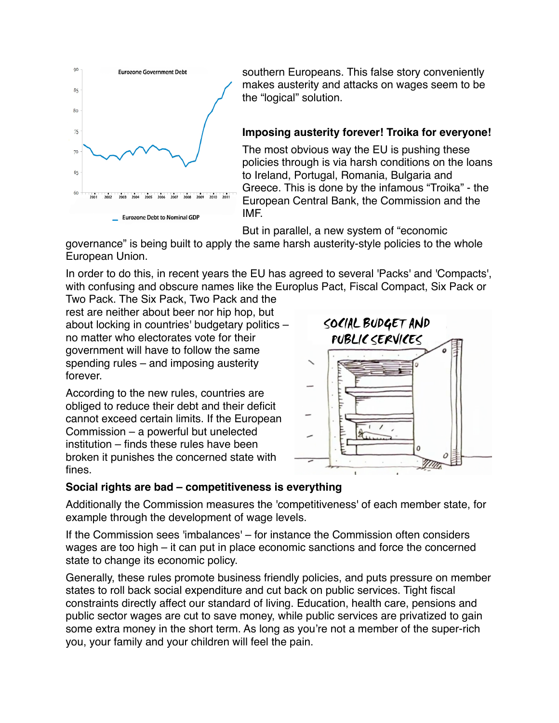

southern Europeans. This false story conveniently makes austerity and attacks on wages seem to be the "logical" solution.

# **Imposing austerity forever! Troika for everyone!**

The most obvious way the EU is pushing these policies through is via harsh conditions on the loans to Ireland, Portugal, Romania, Bulgaria and Greece. This is done by the infamous "Troika" - the European Central Bank, the Commission and the IMF.

But in parallel, a new system of "economic

governance" is being built to apply the same harsh austerity-style policies to the whole European Union.

In order to do this, in recent years the EU has agreed to several 'Packs' and 'Compacts', with confusing and obscure names like the Europlus Pact, Fiscal Compact, Six Pack or

Two Pack. The Six Pack, Two Pack and the rest are neither about beer nor hip hop, but about locking in countries' budgetary politics – no matter who electorates vote for their government will have to follow the same spending rules – and imposing austerity forever.

According to the new rules, countries are obliged to reduce their debt and their deficit cannot exceed certain limits. If the European Commission – a powerful but unelected institution – finds these rules have been broken it punishes the concerned state with fines.



## **Social rights are bad – competitiveness is everything**

Additionally the Commission measures the 'competitiveness' of each member state, for example through the development of wage levels.

If the Commission sees 'imbalances' – for instance the Commission often considers wages are too high – it can put in place economic sanctions and force the concerned state to change its economic policy.

Generally, these rules promote business friendly policies, and puts pressure on member states to roll back social expenditure and cut back on public services. Tight fiscal constraints directly affect our standard of living. Education, health care, pensions and public sector wages are cut to save money, while public services are privatized to gain some extra money in the short term. As long as you're not a member of the super-rich you, your family and your children will feel the pain.